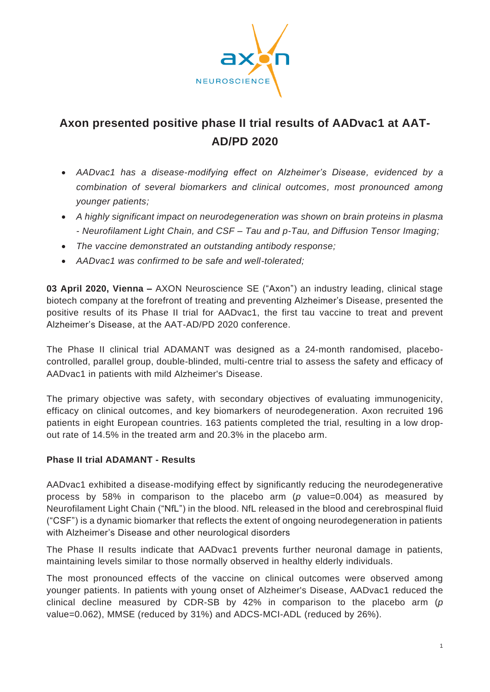

## **Axon presented positive phase II trial results of AADvac1 at AAT-AD/PD 2020**

- *AADvac1 has a disease-modifying effect on Alzheimer's Disease, evidenced by a combination of several biomarkers and clinical outcomes, most pronounced among younger patients;*
- *A highly significant impact on neurodegeneration was shown on brain proteins in plasma - Neurofilament Light Chain, and CSF – Tau and p-Tau, and Diffusion Tensor Imaging;*
- *The vaccine demonstrated an outstanding antibody response;*
- *AADvac1 was confirmed to be safe and well-tolerated;*

**03 April 2020, Vienna –** AXON Neuroscience SE ("Axon") an industry leading, clinical stage biotech company at the forefront of treating and preventing Alzheimer's Disease, presented the positive results of its Phase II trial for AADvac1, the first tau vaccine to treat and prevent Alzheimer's Disease, at the AAT-AD/PD 2020 conference.

The Phase II clinical trial ADAMANT was designed as a 24-month randomised, placebocontrolled, parallel group, double-blinded, multi-centre trial to assess the safety and efficacy of AADvac1 in patients with mild Alzheimer's Disease.

The primary objective was safety, with secondary objectives of evaluating immunogenicity, efficacy on clinical outcomes, and key biomarkers of neurodegeneration. Axon recruited 196 patients in eight European countries. 163 patients completed the trial, resulting in a low dropout rate of 14.5% in the treated arm and 20.3% in the placebo arm.

## **Phase II trial ADAMANT - Results**

AADvac1 exhibited a disease-modifying effect by significantly reducing the neurodegenerative process by 58% in comparison to the placebo arm (*p* value=0.004) as measured by Neurofilament Light Chain ("NfL") in the blood. NfL released in the blood and cerebrospinal fluid ("CSF") is a dynamic biomarker that reflects the extent of ongoing neurodegeneration in patients with Alzheimer's Disease and other neurological disorders

The Phase II results indicate that AADvac1 prevents further neuronal damage in patients, maintaining levels similar to those normally observed in healthy elderly individuals.

The most pronounced effects of the vaccine on clinical outcomes were observed among younger patients. In patients with young onset of Alzheimer's Disease, AADvac1 reduced the clinical decline measured by CDR-SB by 42% in comparison to the placebo arm (*p* value=0.062), MMSE (reduced by 31%) and ADCS-MCI-ADL (reduced by 26%).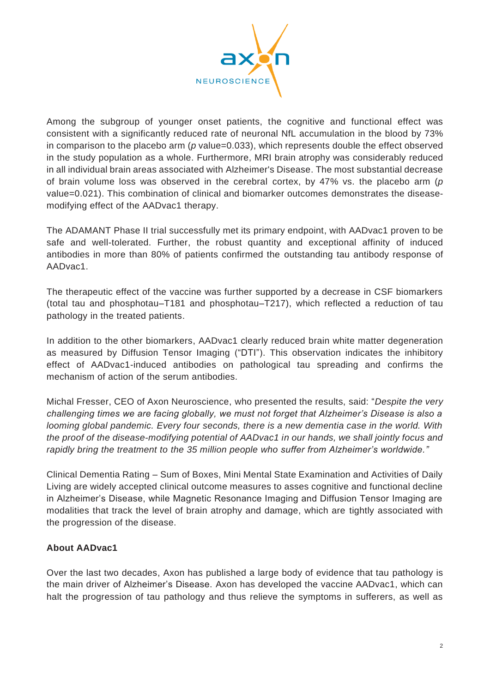

Among the subgroup of younger onset patients, the cognitive and functional effect was consistent with a significantly reduced rate of neuronal NfL accumulation in the blood by 73% in comparison to the placebo arm (p value=0.033), which represents double the effect observed in the study population as a whole. Furthermore, MRI brain atrophy was considerably reduced in all individual brain areas associated with Alzheimer's Disease. The most substantial decrease of brain volume loss was observed in the cerebral cortex, by 47% vs. the placebo arm (*p* value=0.021). This combination of clinical and biomarker outcomes demonstrates the diseasemodifying effect of the AADvac1 therapy.

The ADAMANT Phase II trial successfully met its primary endpoint, with AADvac1 proven to be safe and well-tolerated. Further, the robust quantity and exceptional affinity of induced antibodies in more than 80% of patients confirmed the outstanding tau antibody response of AADvac1.

The therapeutic effect of the vaccine was further supported by a decrease in CSF biomarkers (total tau and phosphotau–T181 and phosphotau–T217), which reflected a reduction of tau pathology in the treated patients.

In addition to the other biomarkers, AADvac1 clearly reduced brain white matter degeneration as measured by Diffusion Tensor Imaging ("DTI"). This observation indicates the inhibitory effect of AADvac1-induced antibodies on pathological tau spreading and confirms the mechanism of action of the serum antibodies.

Michal Fresser, CEO of Axon Neuroscience, who presented the results, said: "*Despite the very challenging times we are facing globally, we must not forget that Alzheimer's Disease is also a looming global pandemic. Every four seconds, there is a new dementia case in the world. With the proof of the disease-modifying potential of AADvac1 in our hands, we shall jointly focus and rapidly bring the treatment to the 35 million people who suffer from Alzheimer's worldwide."*

Clinical Dementia Rating – Sum of Boxes, Mini Mental State Examination and Activities of Daily Living are widely accepted clinical outcome measures to asses cognitive and functional decline in Alzheimer's Disease, while Magnetic Resonance Imaging and Diffusion Tensor Imaging are modalities that track the level of brain atrophy and damage, which are tightly associated with the progression of the disease.

## **About AADvac1**

Over the last two decades, Axon has published a large body of evidence that tau pathology is the main driver of Alzheimer's Disease. Axon has developed the vaccine AADvac1, which can halt the progression of tau pathology and thus relieve the symptoms in sufferers, as well as